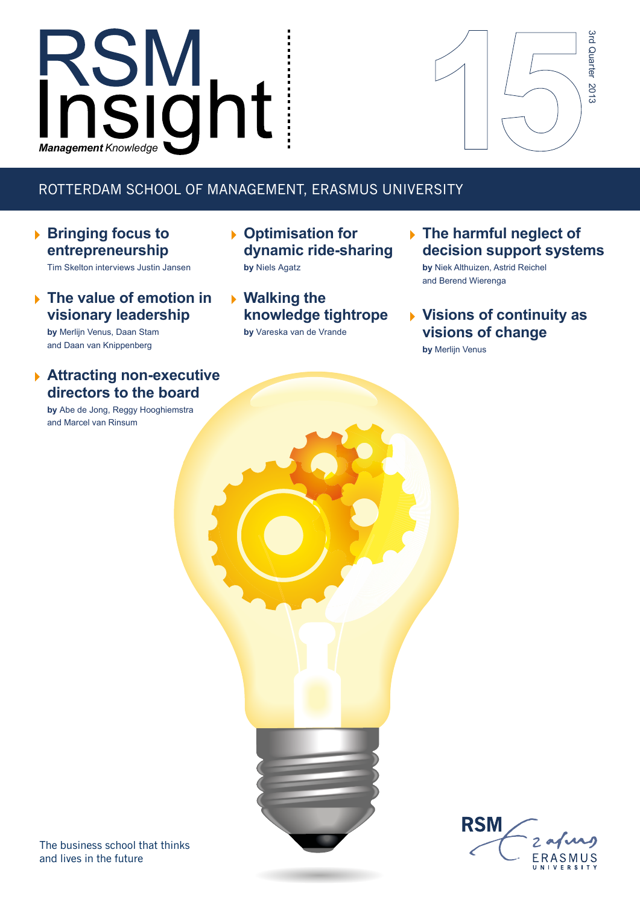# RSM<br>*Insight*



## ROTTERDAM SCHOOL OF MANAGEMENT, ERASMUS UNIVERSITY

**Bringing focus to entrepreneurship**

Tim Skelton interviews Justin Jansen

**The value of emotion in visionary leadership**

**by** Merlijn Venus, Daan Stam and Daan van Knippenberg

### **Attracting non-executive directors to the board**

**by** Abe de Jong, Reggy Hooghiemstra and Marcel van Rinsum

- **Optimisation for dynamic ride-sharing by** Niels Agatz
- **Walking the knowledge tightrope**

**by** Vareska van de Vrande

**The harmful neglect of decision support systems**

**by** Niek Althuizen, Astrid Reichel and Berend Wierenga

**Visions of continuity as visions of change**

**by** Merlijn Venus



FRASMUS

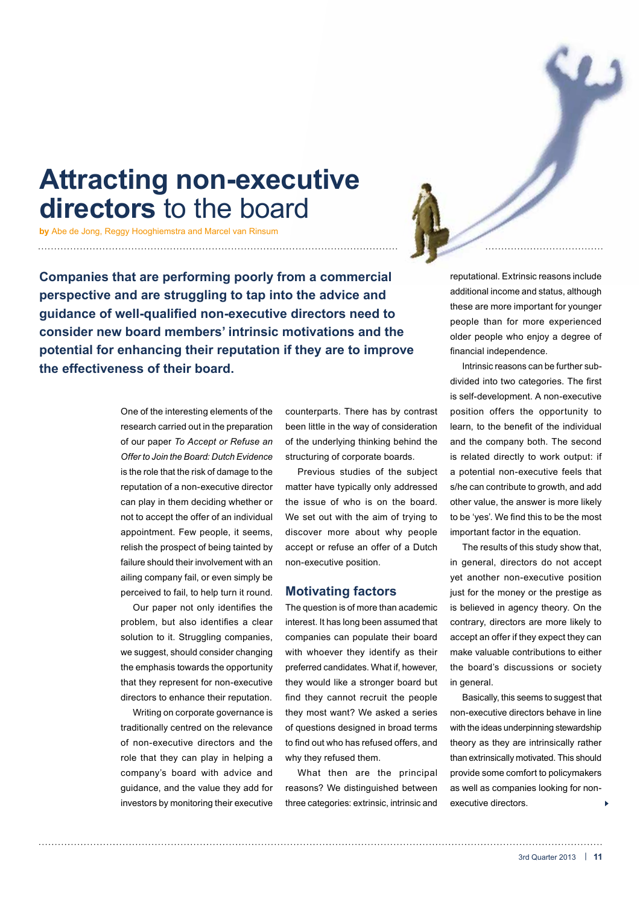# **Attracting non-executive directors** to the board

**by** Abe de Jong, Reggy Hooghiemstra and Marcel van Rinsum

**Companies that are performing poorly from a commercial perspective and are struggling to tap into the advice and guidance of well-qualified non-executive directors need to consider new board members' intrinsic motivations and the potential for enhancing their reputation if they are to improve the effectiveness of their board.**

> One of the interesting elements of the research carried out in the preparation of our paper *To Accept or Refuse an Offer to Join the Board: Dutch Evidence*  is the role that the risk of damage to the reputation of a non-executive director can play in them deciding whether or not to accept the offer of an individual appointment. Few people, it seems, relish the prospect of being tainted by failure should their involvement with an ailing company fail, or even simply be perceived to fail, to help turn it round.

> Our paper not only identifies the problem, but also identifies a clear solution to it. Struggling companies, we suggest, should consider changing the emphasis towards the opportunity that they represent for non-executive directors to enhance their reputation.

> Writing on corporate governance is traditionally centred on the relevance of non-executive directors and the role that they can play in helping a company's board with advice and guidance, and the value they add for investors by monitoring their executive

counterparts. There has by contrast been little in the way of consideration of the underlying thinking behind the structuring of corporate boards.

Previous studies of the subject matter have typically only addressed the issue of who is on the board. We set out with the aim of trying to discover more about why people accept or refuse an offer of a Dutch non-executive position.

#### **Motivating factors**

The question is of more than academic interest. It has long been assumed that companies can populate their board with whoever they identify as their preferred candidates. What if, however, they would like a stronger board but find they cannot recruit the people they most want? We asked a series of questions designed in broad terms to find out who has refused offers, and why they refused them.

What then are the principal reasons? We distinguished between three categories: extrinsic, intrinsic and

reputational. Extrinsic reasons include additional income and status, although these are more important for younger people than for more experienced older people who enjoy a degree of financial independence.

Intrinsic reasons can be further subdivided into two categories. The first is self-development. A non-executive position offers the opportunity to learn, to the benefit of the individual and the company both. The second is related directly to work output: if a potential non-executive feels that s/he can contribute to growth, and add other value, the answer is more likely to be 'yes'. We find this to be the most important factor in the equation.

The results of this study show that, in general, directors do not accept yet another non-executive position just for the money or the prestige as is believed in agency theory. On the contrary, directors are more likely to accept an offer if they expect they can make valuable contributions to either the board's discussions or society in general.

Basically, this seems to suggest that non-executive directors behave in line with the ideas underpinning stewardship theory as they are intrinsically rather than extrinsically motivated. This should provide some comfort to policymakers as well as companies looking for nonexecutive directors.  $\overline{a}$ 

3rd Quarter 2013 | **11**